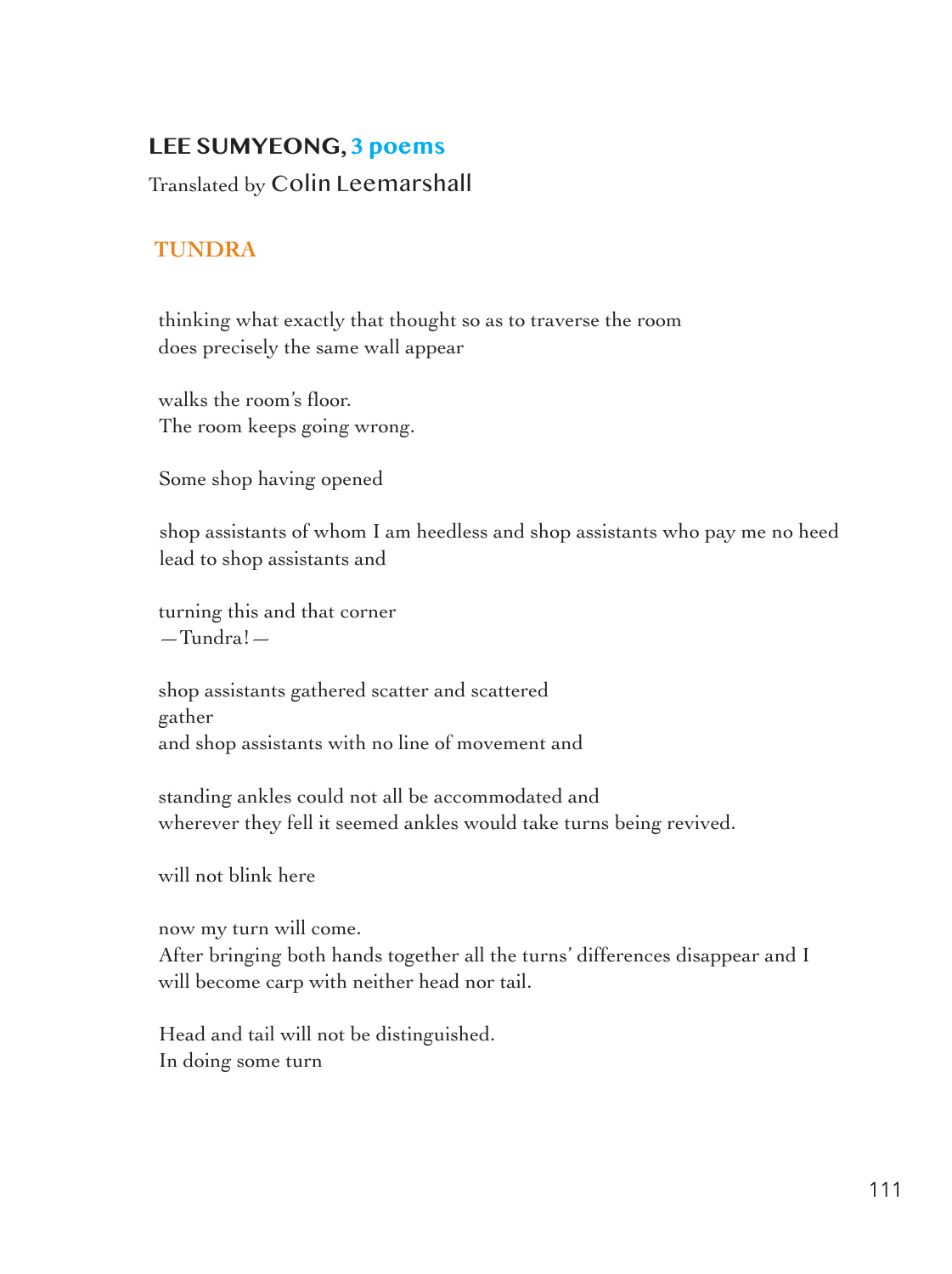## **LEE SUMYEONG, 3 poems**

Translated by Colin Leemarshall

## **TUNDRA**

 thinking what exactly that thought so as to traverse the room does precisely the same wall appear

 walks the room's floor. The room keeps going wrong.

Some shop having opened

shop assistants of whom I am heedless and shop assistants who pay me no heed lead to shop assistants and

 turning this and that corner —Tundra!—

 shop assistants gathered scatter and scattered gather and shop assistants with no line of movement and

 standing ankles could not all be accommodated and wherever they fell it seemed ankles would take turns being revived.

will not blink here

now my turn will come.

 After bringing both hands together all the turns' differences disappear and I will become carp with neither head nor tail.

 Head and tail will not be distinguished. In doing some turn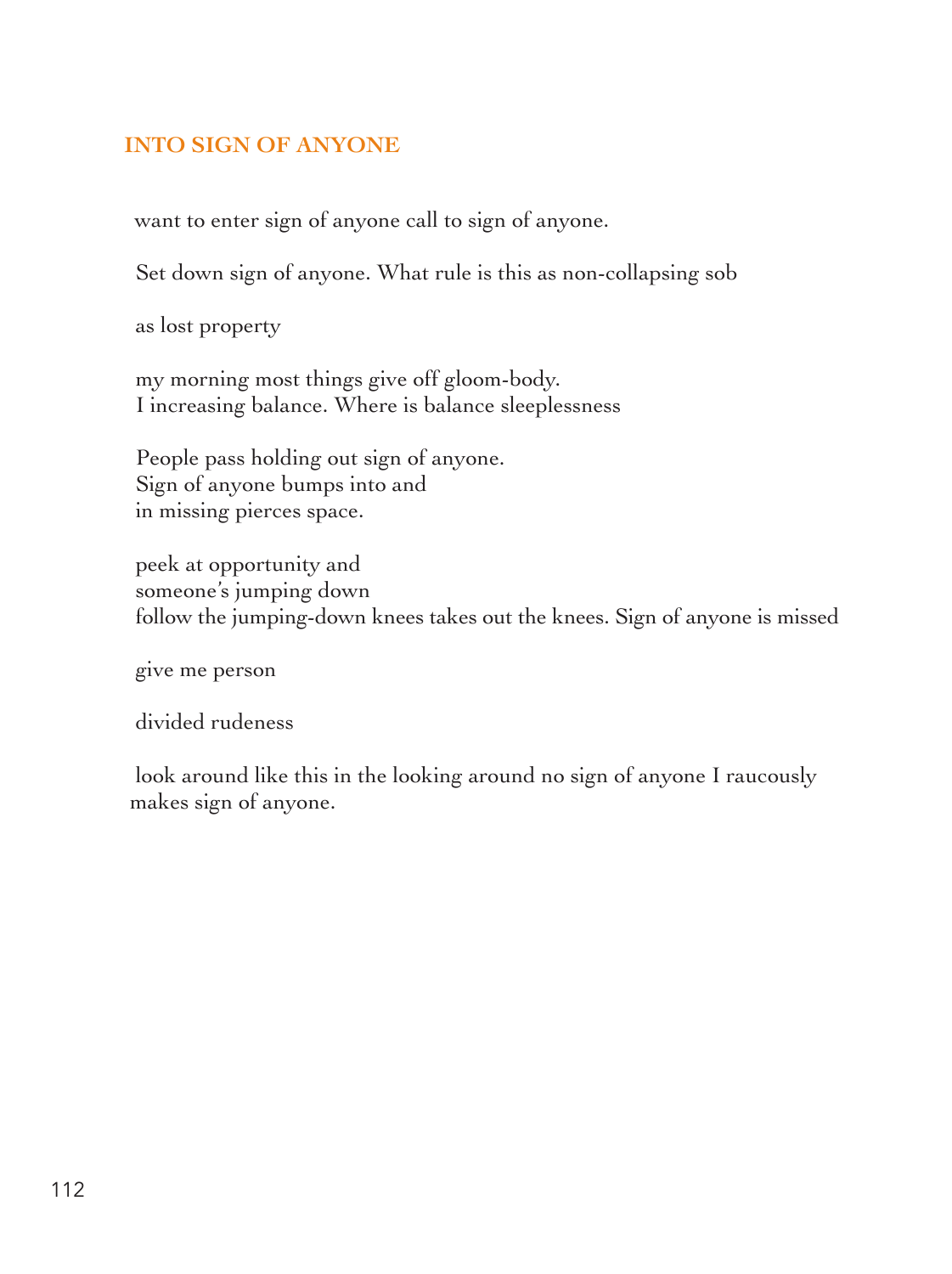## **INTO SIGN OF ANYONE**

want to enter sign of anyone call to sign of anyone.

Set down sign of anyone. What rule is this as non-collapsing sob

as lost property

 my morning most things give off gloom-body. I increasing balance. Where is balance sleeplessness

 People pass holding out sign of anyone. Sign of anyone bumps into and in missing pierces space.

 peek at opportunity and someone's jumping down follow the jumping-down knees takes out the knees. Sign of anyone is missed

give me person

divided rudeness

look around like this in the looking around no sign of anyone I raucously makes sign of anyone.